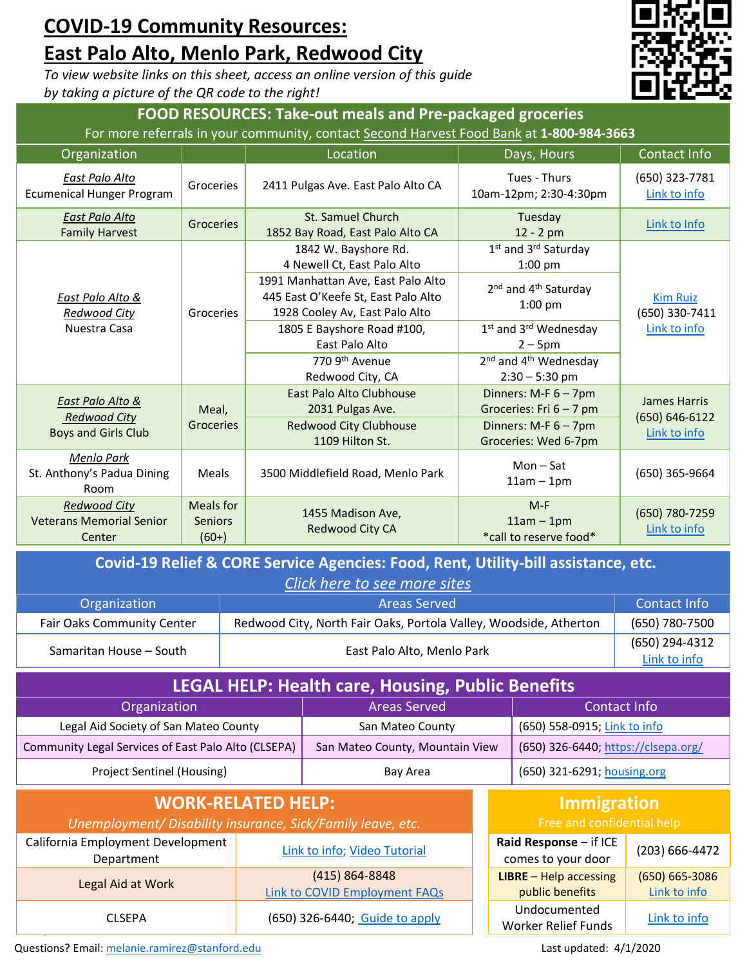## **COVID-19 Community Resources: East Palo Alto, Menlo Park, Redwood City**

*To view website links on this sheet, access an online version of this guide by taking a picture of the QR code to the right!*



| <b>FOOD RESOURCES: Take-out meals and Pre-packaged groceries</b><br>For more referrals in your community, contact Second Harvest Food Bank at 1-800-984-3663 |                                        |                                                                                                             |                                                                   |                                       |  |  |  |
|--------------------------------------------------------------------------------------------------------------------------------------------------------------|----------------------------------------|-------------------------------------------------------------------------------------------------------------|-------------------------------------------------------------------|---------------------------------------|--|--|--|
| Organization                                                                                                                                                 |                                        | Location                                                                                                    | Days, Hours                                                       | Contact Info                          |  |  |  |
| East Palo Alto<br><b>Ecumenical Hunger Program</b>                                                                                                           | Groceries                              | 2411 Pulgas Ave. East Palo Alto CA                                                                          | Tues - Thurs<br>10am-12pm; 2:30-4:30pm                            | (650) 323-7781<br>Link to info        |  |  |  |
| East Palo Alto<br><b>Family Harvest</b>                                                                                                                      | Groceries                              | St. Samuel Church<br>Tuesday<br>1852 Bay Road, East Palo Alto CA<br>12 - 2 pm                               |                                                                   | Link to Info                          |  |  |  |
| East Palo Alto &<br><b>Redwood City</b><br>Nuestra Casa                                                                                                      | Groceries                              | 1842 W. Bayshore Rd.<br>4 Newell Ct, East Palo Alto                                                         | 1 <sup>st</sup> and 3 <sup>rd</sup> Saturday<br>$1:00$ pm         |                                       |  |  |  |
|                                                                                                                                                              |                                        | 1991 Manhattan Ave, East Palo Alto<br>445 East O'Keefe St, East Palo Alto<br>1928 Cooley Av, East Palo Alto | 2 <sup>nd</sup> and 4 <sup>th</sup> Saturday<br>$1:00$ pm         | <b>Kim Ruiz</b><br>(650) 330-7411     |  |  |  |
|                                                                                                                                                              |                                        | 1805 E Bayshore Road #100,<br>East Palo Alto                                                                | 1st and 3rd Wednesday<br>$2 - 5$ pm                               | Link to info                          |  |  |  |
|                                                                                                                                                              |                                        | 770 9th Avenue<br>Redwood City, CA                                                                          | 2 <sup>nd</sup> and 4 <sup>th</sup> Wednesday<br>$2:30 - 5:30$ pm |                                       |  |  |  |
| East Palo Alto &<br><b>Redwood City</b><br><b>Boys and Girls Club</b>                                                                                        | Meal,<br>Groceries                     | East Palo Alto Clubhouse<br>2031 Pulgas Ave.                                                                | Dinners: $M-F$ 6 - 7pm<br>Groceries: Fri $6 - 7$ pm               | <b>James Harris</b><br>(650) 646-6122 |  |  |  |
|                                                                                                                                                              |                                        | <b>Redwood City Clubhouse</b><br>1109 Hilton St.                                                            | Dinners: $M-F$ 6 - 7pm<br>Groceries: Wed 6-7pm                    | Link to info                          |  |  |  |
| <b>Menlo Park</b><br>St. Anthony's Padua Dining<br>Room                                                                                                      | Meals                                  | 3500 Middlefield Road, Menlo Park                                                                           | $Mon - Sat$<br>$11am - 1pm$                                       | (650) 365-9664                        |  |  |  |
| <b>Redwood City</b><br><b>Veterans Memorial Senior</b><br>Center                                                                                             | Meals for<br><b>Seniors</b><br>$(60+)$ | 1455 Madison Ave,<br>Redwood City CA                                                                        | $M-F$<br>$11am - 1pm$<br>*call to reserve food*                   | (650) 780-7259<br>Link to info        |  |  |  |

| Covid-19 Relief & CORE Service Agencies: Food, Rent, Utility-bill assistance, etc. |                |                                |  |  |  |  |
|------------------------------------------------------------------------------------|----------------|--------------------------------|--|--|--|--|
| Click here to see more sites                                                       |                |                                |  |  |  |  |
| <b>Areas Served</b><br><b>Contact Info</b><br>Organization                         |                |                                |  |  |  |  |
| Fair Oaks Community Center                                                         | (650) 780-7500 |                                |  |  |  |  |
| East Palo Alto, Menlo Park<br>Samaritan House - South                              |                | (650) 294-4312<br>Link to info |  |  |  |  |
| LEGAL HELP: Health care, Housing, Public Benefits                                  |                |                                |  |  |  |  |

| ______                                              |                                 |                                     |  |  |  |  |
|-----------------------------------------------------|---------------------------------|-------------------------------------|--|--|--|--|
| Organization                                        | <b>Areas Served</b>             | Contact Info                        |  |  |  |  |
| Legal Aid Society of San Mateo County               | San Mateo County                | (650) 558-0915; Link to info        |  |  |  |  |
| Community Legal Services of East Palo Alto (CLSEPA) | San Mateo County, Mountain View | (650) 326-6440; https://clsepa.org/ |  |  |  |  |
| Project Sentinel (Housing)                          | Bay Area                        | (650) 321-6291; housing.org         |  |  |  |  |

| <b>WORK-RELATED HELP:</b><br>Unemployment/ Disability insurance, Sick/Family leave, etc. |                                                        |  | <b>Immigration</b><br>Free and confidential help   |                                    |  |
|------------------------------------------------------------------------------------------|--------------------------------------------------------|--|----------------------------------------------------|------------------------------------|--|
| California Employment Development<br>Department                                          | Link to info; Video Tutorial                           |  | Raid Response - if ICE<br>comes to your door       | (203) 666-4472                     |  |
| Legal Aid at Work                                                                        | (415) 864-8848<br><b>Link to COVID Employment FAQs</b> |  | <b>LIBRE</b> $-$ Help accessing<br>public benefits | $(650) 665 - 3086$<br>Link to info |  |
| <b>CLSEPA</b>                                                                            | (650) 326-6440; Guide to apply                         |  | Undocumented<br>Worker Relief Funds                | Link to info                       |  |

Questions? Email: [melanie.ramirez@stanford.edu](mailto:melanie.ramirez@stanford.edu) Last updated: 4/1/2020